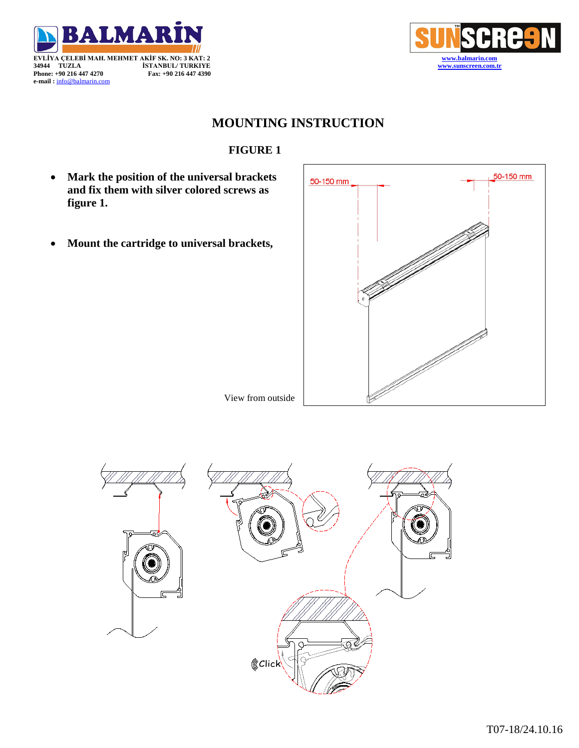



## **MOUNTING INSTRUCTION**

## **FIGURE 1**

- **Mark the position of the universal brackets and fix them with silver colored screws as figure 1.**
- **Mount the cartridge to universal brackets,**



View from outside

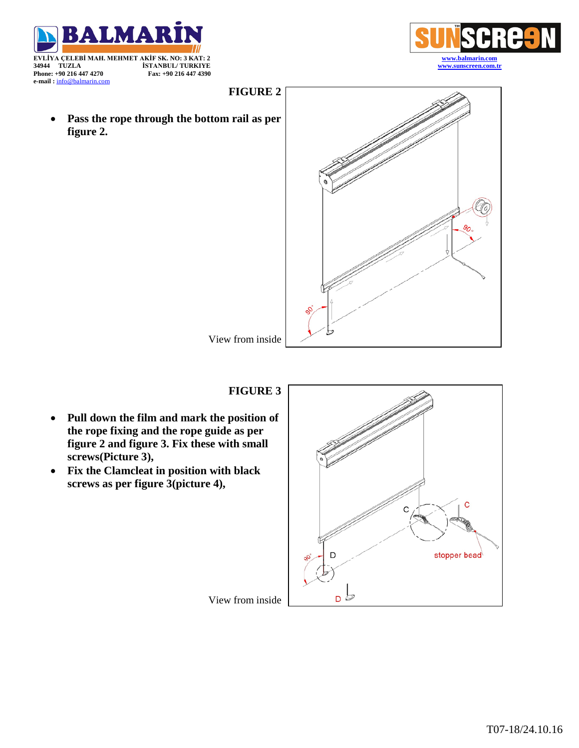

**figure 2.**







View from inside

## **FIGURE 3**

- **Pull down the film and mark the position of the rope fixing and the rope guide as per figure 2 and figure 3. Fix these with small screws(Picture 3),**
- **Fix the Clamcleat in position with black screws as per figure 3(picture 4),**



View from inside